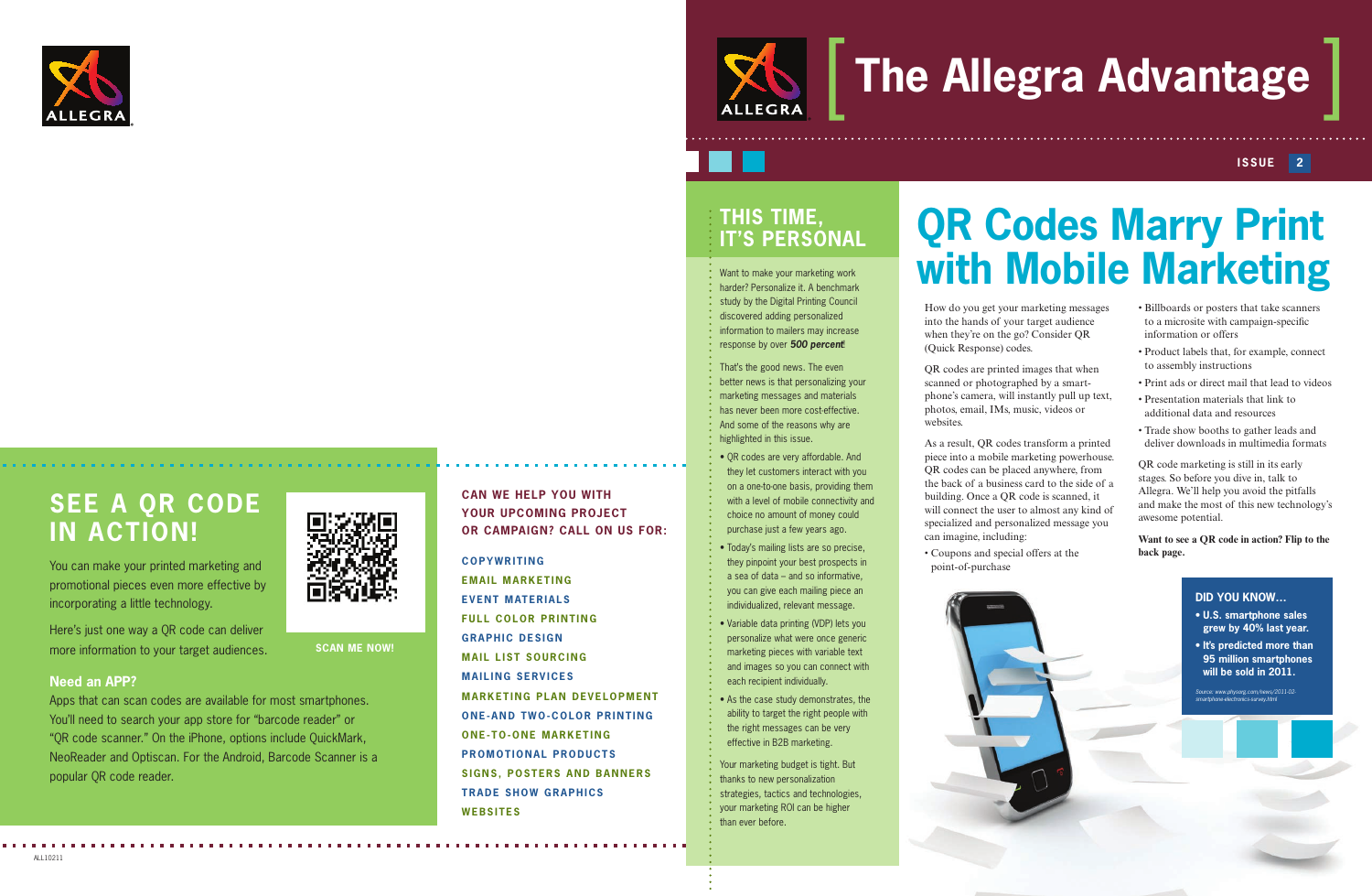How do you get your marketing messages into the hands of your target audience when they're on the go? Consider QR (Quick Response) codes.

QR codes are printed images that when scanned or photographed by a smartphone's camera, will instantly pull up text, photos, email, IMs, music, videos or websites.

As a result, QR codes transform a printed piece into a mobile marketing powerhouse. QR codes can be placed anywhere, from the back of a business card to the side of a building. Once a QR code is scanned, it will connect the user to almost any kind of specialized and personalized message you can imagine, including:

• Coupons and special offers at the point-of-purchase



**COPYWRITING EMAIL MARKETING EVENT MATERIALS FULL COLOR PRINTING GRAPHIC DESIGN MAIL LIST SOURCING MAILING SERVICES MARKETING PLAN DEVELOPMENT ONE-AND TWO-COLOR PRINTING ONE-TO-ONE MARKETING PROMOTIONAL PRODUCTS SIGNS, POSTERS AND BANNERS TRADE SHOW GRAPHICS WEBSITES**

### **CAN WE HELP YOU WITH YOUR UPCOMING PROJECT OR CAMPAIGN? CALL ON US FOR:**

# **The Allegra Advantage**

#### **ISSUE 2**

# **QR Codes Marry Print with Mobile Marketing**

- Billboards or posters that take scanners to a microsite with campaign-specific information or offers
- Product labels that, for example, connect to assembly instructions
- Print ads or direct mail that lead to videos
- Presentation materials that link to additional data and resources
- Trade show booths to gather leads and deliver downloads in multimedia formats

QR code marketing is still in its early stages. So before you dive in, talk to Allegra. We'll help you avoid the pitfalls and make the most of this new technology's awesome potential.

**Want to see a QR code in action? Flip to the back page.** 

### **THIS TIME, IT'S PERSONAL**

*LLEGRA* 

Want to make your marketing work harder? Personalize it. A benchmark study by the Digital Printing Council discovered adding personalized information to mailers may increase response by over *500 percent*!

That's the good news. The even better news is that personalizing your marketing messages and materials has never been more cost-effective. And some of the reasons why are highlighted in this issue.

• QR codes are very affordable. And they let customers interact with you on a one-to-one basis, providing them with a level of mobile connectivity and choice no amount of money could purchase just a few years ago.

• Today's mailing lists are so precise, they pinpoint your best prospects in a sea of data – and so informative, you can give each mailing piece an individualized, relevant message.

• Variable data printing (VDP) lets you personalize what were once generic marketing pieces with variable text and images so you can connect with each recipient individually.

• As the case study demonstrates, the ability to target the right people with the right messages can be very effective in B2B marketing.

Your marketing budget is tight. But thanks to new personalization strategies, tactics and technologies, your marketing ROI can be higher than ever before.



### **SEE A QR CODE IN ACTION!**

You can make your printed marketing and promotional pieces even more effective by incorporating a little technology.

Here's just one way a QR code can deliver more information to your target audiences.

#### **Need an APP?**

Apps that can scan codes are available for most smartphones. You'll need to search your app store for "barcode reader" or "QR code scanner." On the iPhone, options include QuickMark, NeoReader and Optiscan. For the Android, Barcode Scanner is a popular QR code reader.

**SCAN ME NOW!**

#### **DID YOU KNOW…**

- **U.S. smartphone sales grew by 40% last year.**
- **It's predicted more than 95 million smartphones will be sold in 2011.**

*Source: www.physorg.com/news/2011-02- smartphone-electronics-survey.html*